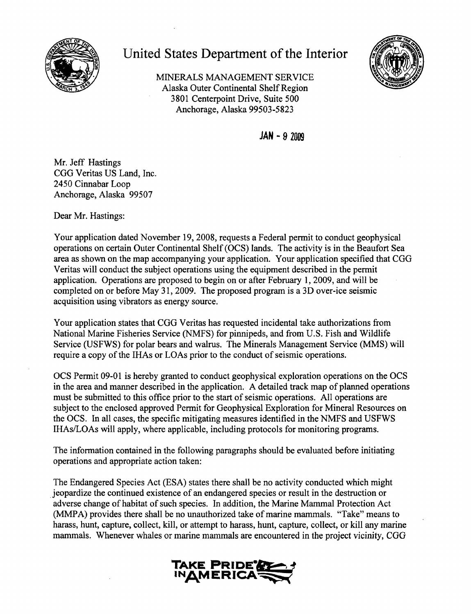

## **United States Department of the Interior**

MINERALS MANAGEMENT SERVICE Alaska Outer Continental Shelf Region 3801 Centerpoint Drive, Suite 500 Anchorage, Alaska 99503-5823



**JAN - 9 2009** 

Mr. Jeff Hastings CGG Veritas US Land, Inc. 2450 Cinnabar Loop Anchorage, Alaska 99507

Dear Mr. Hastings:

Your application dated November 19, 2008, requests a Federal permit to conduct geophysical operations on certain Outer Continental Shelf (OCS) lands. The activity is in the Beaufort Sea area as shown on the map accompanying your application. Your application specified that CGG Veritas will conduct the subject operations using the equipment described in the permit application. Operations are proposed to begin on or after February 1,2009, and will be completed on or before May 31,2009. The proposed program is a 3D over-ice seismic acquisition using vibrators as energy source.

Your application states that CGG Veritas has requested incidental take authorizations from National Marine Fisheries Service (NMFS) for pinnipeds, and from U.S. Fish and Wildlife Service (USFWS) for polar bears and walrus. The Minerals Management Service (MMS) will require a copy of the IHAs or LOAs prior to the conduct of seismic operations.

OCS Permit 09-01 is hereby granted to conduct geophysical exploration operations on the OCS in the area and manner described in the application. A detailed track map of planned operations must be submitted to this office prior to the start of seismic operations. All operations are subject to the enclosed approved Permit for Geophysical Exploration for Mineral Resources on the OCS. In all cases, the specific mitigating measures identified in the NMFS and USFWS IHAs/LOAs will apply, where applicable, including protocols for monitoring programs.

The information contained in the following paragraphs should be evaluated before initiating operations and appropriate action taken:

The Endangered Species Act (ESA) states there shall be no activity conducted which might .jeopardize the continued existence of an endangered species or result in the destruction or adverse change of habitat of such species. In addition, the Marine Mammal Protection Act (MMPA) provides there shall be no unauthorized take of marine mammals. "Take" means to harass, hunt, capture, collect, kill, or attempt to harass, hunt, capture, collect, or kill any marine mammals. Whenever whales or marine mammals are encountered in the project vicinity, CGG